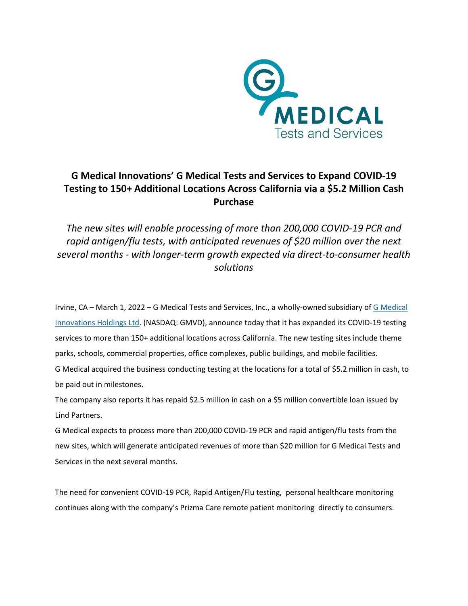

## **G Medical Innovations' G Medical Tests and Services to Expand COVID-19 Testing to 150+ Additional Locations Across California via a \$5.2 Million Cash Purchase**

*The new sites will enable processing of more than 200,000 COVID-19 PCR and rapid antigen/flu tests, with anticipated revenues of \$20 million over the next several months - with longer-term growth expected via direct-to-consumer health solutions*

Irvine, CA – March 1, 2022 – G Medical Tests and Services, Inc., a wholly-owned subsidiary o[f G Medical](https://gmedinnovations.com/)  [Innovations Holdings Ltd.](https://gmedinnovations.com/) (NASDAQ: GMVD), announce today that it has expanded its COVID-19 testing services to more than 150+ additional locations across California. The new testing sites include theme parks, schools, commercial properties, office complexes, public buildings, and mobile facilities. G Medical acquired the business conducting testing at the locations for a total of \$5.2 million in cash, to be paid out in milestones.

The company also reports it has repaid \$2.5 million in cash on a \$5 million convertible loan issued by Lind Partners.

G Medical expects to process more than 200,000 COVID-19 PCR and rapid antigen/flu tests from the new sites, which will generate anticipated revenues of more than \$20 million for G Medical Tests and Services in the next several months.

The need for convenient COVID-19 PCR, Rapid Antigen/Flu testing, personal healthcare monitoring continues along with the company's Prizma Care remote patient monitoring directly to consumers.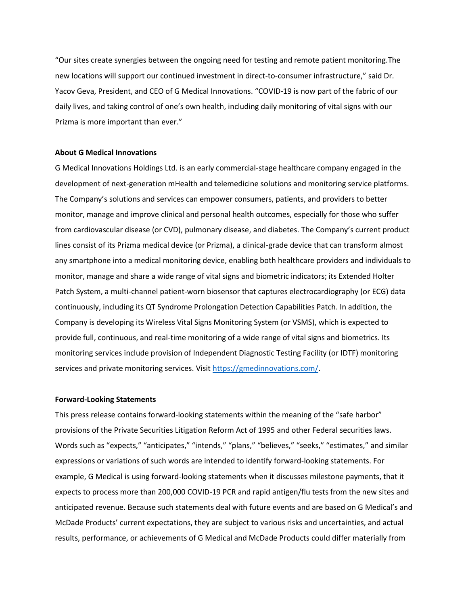"Our sites create synergies between the ongoing need for testing and remote patient monitoring.The new locations will support our continued investment in direct-to-consumer infrastructure," said Dr. Yacov Geva, President, and CEO of G Medical Innovations. "COVID-19 is now part of the fabric of our daily lives, and taking control of one's own health, including daily monitoring of vital signs with our Prizma is more important than ever."

## **About G Medical Innovations**

G Medical Innovations Holdings Ltd. is an early commercial-stage healthcare company engaged in the development of next-generation mHealth and telemedicine solutions and monitoring service platforms. The Company's solutions and services can empower consumers, patients, and providers to better monitor, manage and improve clinical and personal health outcomes, especially for those who suffer from cardiovascular disease (or CVD), pulmonary disease, and diabetes. The Company's current product lines consist of its Prizma medical device (or Prizma), a clinical-grade device that can transform almost any smartphone into a medical monitoring device, enabling both healthcare providers and individuals to monitor, manage and share a wide range of vital signs and biometric indicators; its Extended Holter Patch System, a multi-channel patient-worn biosensor that captures electrocardiography (or ECG) data continuously, including its QT Syndrome Prolongation Detection Capabilities Patch. In addition, the Company is developing its Wireless Vital Signs Monitoring System (or VSMS), which is expected to provide full, continuous, and real-time monitoring of a wide range of vital signs and biometrics. Its monitoring services include provision of Independent Diagnostic Testing Facility (or IDTF) monitoring services and private monitoring services. Visit [https://gmedinnovations.com/.](https://gmedinnovations.com/)

## **Forward-Looking Statements**

This press release contains forward-looking statements within the meaning of the "safe harbor" provisions of the Private Securities Litigation Reform Act of 1995 and other Federal securities laws. Words such as "expects," "anticipates," "intends," "plans," "believes," "seeks," "estimates," and similar expressions or variations of such words are intended to identify forward-looking statements. For example, G Medical is using forward-looking statements when it discusses milestone payments, that it expects to process more than 200,000 COVID-19 PCR and rapid antigen/flu tests from the new sites and anticipated revenue. Because such statements deal with future events and are based on G Medical's and McDade Products' current expectations, they are subject to various risks and uncertainties, and actual results, performance, or achievements of G Medical and McDade Products could differ materially from